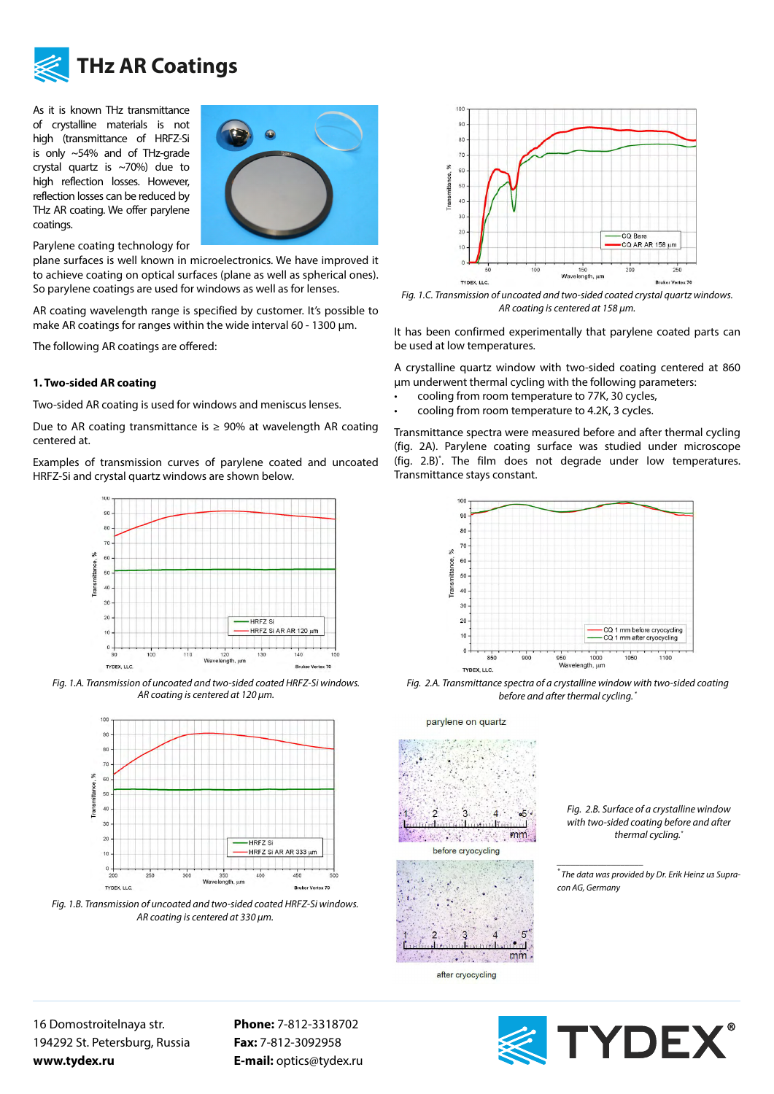

## **THz AR Coatings**

As it is known THz transmittance of crystalline materials is not high (transmittance of HRFZ-Si is only ~54% and of THz-grade crystal quartz is ~70%) due to high reflection losses. However, reflection losses can be reduced by THz AR coating. We offer parylene coatings.



Parylene coating technology for

plane surfaces is well known in microelectronics. We have improved it to achieve coating on optical surfaces (plane as well as spherical ones). So parylene coatings are used for windows as well as for lenses.

AR coating wavelength range is specified by customer. It's possible to make AR coatings for ranges within the wide interval 60 - 1300 µm.

The following AR coatings are offered:

## **1. Two-sided AR coating**

Two-sided AR coating is used for windows and meniscus lenses.

Due to AR coating transmittance is  $\geq$  90% at wavelength AR coating centered at.

Examples of transmission curves of parylene coated and uncoated HRFZ-Si and crystal quartz windows are shown below.



*Fig. 1.А. Transmission of uncoated and two-sided coated HRFZ-Si windows. AR coating is centered at 120 µm.*



*Fig. 1.В. Transmission of uncoated and two-sided coated HRFZ-Si windows. AR coating is centered at 330 µm.*



*Fig. 1.С. Transmission of uncoated and two-sided coated crystal quartz windows. AR coating is centered at 158 µm.*

It has been confirmed experimentally that parylene coated parts can be used at low temperatures.

A crystalline quartz window with two-sided coating centered at 860 μm underwent thermal cycling with the following parameters:

- cooling from room temperature to 77K, 30 cycles,
- cooling from room temperature to 4.2K, 3 cycles.

Transmittance spectra were measured before and after thermal cycling (fig. 2A). Parylene coating surface was studied under microscope (fig. 2.B)\* . The film does not degrade under low temperatures. Transmittance stays constant.



*Fig. 2.А. Transmittance spectra of a crystalline window with two-sided coating before and after thermal cycling. \**



*Fig. 2.В. Surface of a crystalline window with two-sided coating before and after thermal cycling.\**

*\* The data was provided by Dr. Erik Heinz из Supracon AG, Germany*

16 Domostroitelnaya str. 194292 St. Petersburg, Russia **www.tydex.ru** 

**Phone:** 7-812-3318702 **Fax:** 7-812-3092958 **E-mail:** optics@tydex.ru



*\_\_\_\_\_\_\_\_\_\_\_\_\_\_\_\_\_\_\_*